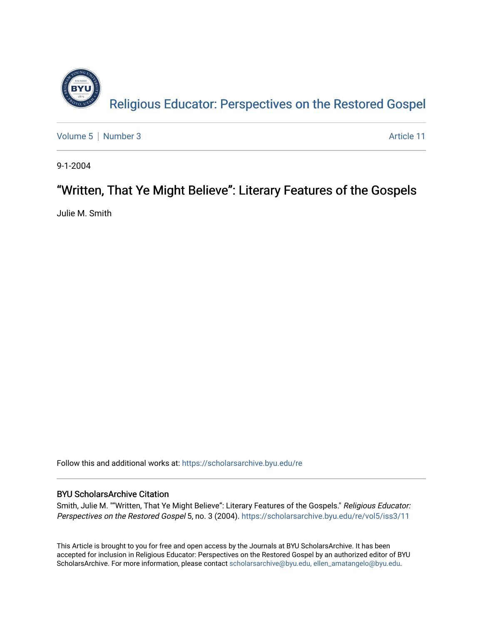

[Volume 5](https://scholarsarchive.byu.edu/re/vol5) | [Number 3](https://scholarsarchive.byu.edu/re/vol5/iss3) Article 11

9-1-2004

## "Written, That Ye Might Believe": Literary Features of the Gospels

Julie M. Smith

Follow this and additional works at: [https://scholarsarchive.byu.edu/re](https://scholarsarchive.byu.edu/re?utm_source=scholarsarchive.byu.edu%2Fre%2Fvol5%2Fiss3%2F11&utm_medium=PDF&utm_campaign=PDFCoverPages)

### BYU ScholarsArchive Citation

Smith, Julie M. ""Written, That Ye Might Believe": Literary Features of the Gospels." Religious Educator: Perspectives on the Restored Gospel 5, no. 3 (2004). https://scholarsarchive.byu.edu/re/vol5/iss3/11

This Article is brought to you for free and open access by the Journals at BYU ScholarsArchive. It has been accepted for inclusion in Religious Educator: Perspectives on the Restored Gospel by an authorized editor of BYU ScholarsArchive. For more information, please contact [scholarsarchive@byu.edu, ellen\\_amatangelo@byu.edu.](mailto:scholarsarchive@byu.edu,%20ellen_amatangelo@byu.edu)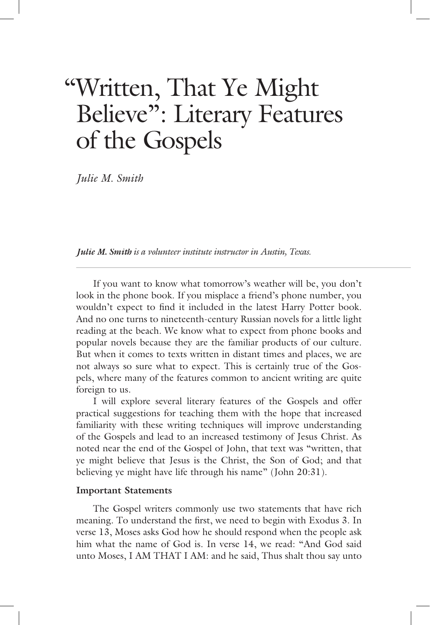# "Written, That Ye Might Believe": Literary Features of the Gospels

 *Julie M. Smith* 

*Julie M. Smith is a volunteer institute instructor in Austin, Texas. is a volunteer institute instructor in Austin,*

 If you want to know what tomorrow's weather will be, you don't look in the phone book. If you misplace a friend's phone number, you wouldn't expect to find it included in the latest Harry Potter book. And no one turns to nineteenth-century Russian novels for a little light reading at the beach. We know what to expect from phone books and popular novels because they are the familiar products of our culture. But when it comes to texts written in distant times and places, we are not always so sure what to expect. This is certainly true of the Gospels, where many of the features common to ancient writing are quite foreign to us.

 I will explore several literary features of the Gospels and offer practical suggestions for teaching them with the hope that increased familiarity with these writing techniques will improve understanding of the Gospels and lead to an increased testimony of Jesus Christ. As noted near the end of the Gospel of John, that text was "written, that ye might believe that Jesus is the Christ, the Son of God; and that believing ye might have life through his name" (John 20:31).

#### **Important Statements**

 The Gospel writers commonly use two statements that have rich meaning. To understand the first, we need to begin with Exodus 3. In verse 13, Moses asks God how he should respond when the people ask him what the name of God is. In verse 14, we read: "And God said unto Moses, I AM THAT I AM: and he said, Thus shalt thou say unto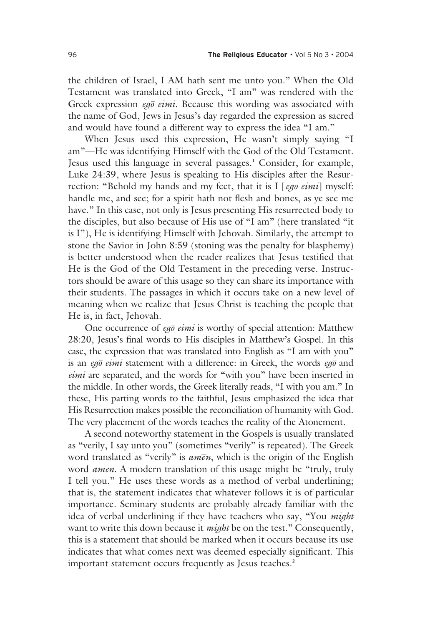the children of Israel, I AM hath sent me unto you." When the Old Testament was translated into Greek, "I am" was rendered with the Greek expression *eg*<sub>0</sub> *eimi*. Because this wording was associated with the name of God, Jews in Jesus's day regarded the expression as sacred and would have found a different way to express the idea "I am."

 When Jesus used this expression, He wasn't simply saying "I am"—He was identifying Himself with the God of the Old Testament. Jesus used this language in several passages.**<sup>1</sup>** Consider, for example, Luke 24:39, where Jesus is speaking to His disciples after the Resurrection: "Behold my hands and my feet, that it is I [eg<sub>0</sub> eimi] myself: handle me, and see; for a spirit hath not flesh and bones, as ye see me have." In this case, not only is Jesus presenting His resurrected body to the disciples, but also because of His use of "I am" (here translated "it is I"), He is identifying Himself with Jehovah. Similarly, the attempt to stone the Savior in John 8:59 (stoning was the penalty for blasphemy) is better understood when the reader realizes that Jesus testified that He is the God of the Old Testament in the preceding verse. Instructors should be aware of this usage so they can share its importance with their students. The passages in which it occurs take on a new level of meaning when we realize that Jesus Christ is teaching the people that He is, in fact, Jehovah.

One occurrence of *eg*<sub>0</sub> *eimi* is worthy of special attention: Matthew 28:20, Jesus's final words to His disciples in Matthew's Gospel. In this case, the expression that was translated into English as "I am with you" is an *eg*<sub>0</sub> eima statement with a difference: in Greek, the words eg<sub>0</sub> and *eimi* are separated, and the words for "with you" have been inserted in the middle. In other words, the Greek literally reads, "I with you am." In these, His parting words to the faithful, Jesus emphasized the idea that His Resurrection makes possible the reconciliation of humanity with God. The very placement of the words teaches the reality of the Atonement.

 A second noteworthy statement in the Gospels is usually translated as "verily, I say unto you" (sometimes "verily" is repeated). The Greek as verify, I say thro you (somethies verify is repeated). The creek<br>word translated as "verily" is *amen*, which is the origin of the English word *amen*. A modern translation of this usage might be "truly, truly I tell you." He uses these words as a method of verbal underlining; that is, the statement indicates that whatever follows it is of particular importance. Seminary students are probably already familiar with the idea of verbal underlining if they have teachers who say, "You *might* want to write this down because it *might* be on the test." Consequently, this is a statement that should be marked when it occurs because its use indicates that what comes next was deemed especially significant. This important statement occurs frequently as Jesus teaches.**<sup>2</sup>**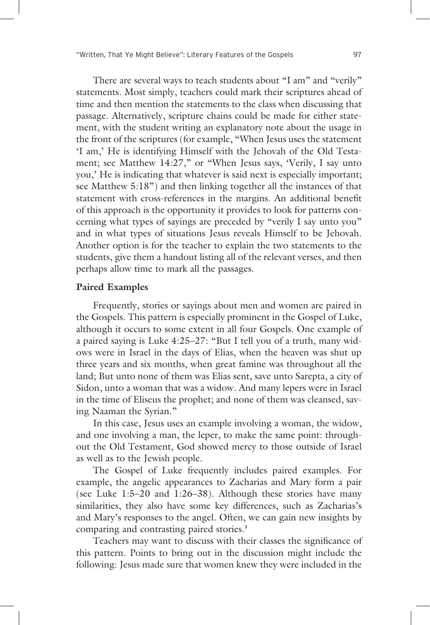There are several ways to teach students about "I am" and "verily" statements. Most simply, teachers could mark their scriptures ahead of time and then mention the statements to the class when discussing that passage. Alternatively, scripture chains could be made for either statement, with the student writing an explanatory note about the usage in the front of the scriptures (for example, "When Jesus uses the statement 'I am,' He is identifying Himself with the Jehovah of the Old Testament; see Matthew 14:27," or "When Jesus says, 'Verily, I say unto you,' He is indicating that whatever is said next is especially important; see Matthew 5:18") and then linking together all the instances of that statement with cross-references in the margins. An additional benefit of this approach is the opportunity it provides to look for patterns concerning what types of sayings are preceded by "verily I say unto you" and in what types of situations Jesus reveals Himself to be Jehovah. Another option is for the teacher to explain the two statements to the students, give them a handout listing all of the relevant verses, and then perhaps allow time to mark all the passages.

#### **Paired Examples**

 Frequently, stories or sayings about men and women are paired in the Gospels. This pattern is especially prominent in the Gospel of Luke, although it occurs to some extent in all four Gospels. One example of a paired saying is Luke 4:25–27: "But I tell you of a truth, many widows were in Israel in the days of Elias, when the heaven was shut up three years and six months, when great famine was throughout all the land; But unto none of them was Elias sent, save unto Sarepta, a city of Sidon, unto a woman that was a widow. And many lepers were in Israel in the time of Eliseus the prophet; and none of them was cleansed, saving Naaman the Syrian."

 In this case, Jesus uses an example involving a woman, the widow, and one involving a man, the leper, to make the same point: throughout the Old Testament, God showed mercy to those outside of Israel as well as to the Jewish people.

 The Gospel of Luke frequently includes paired examples. For example, the angelic appearances to Zacharias and Mary form a pair (see Luke 1:5–20 and 1:26–38). Although these stories have many similarities, they also have some key differences, such as Zacharias's and Mary's responses to the angel. Often, we can gain new insights by comparing and contrasting paired stories.**<sup>3</sup>**

Teachers may want to discuss with their classes the significance of this pattern. Points to bring out in the discussion might include the following: Jesus made sure that women knew they were included in the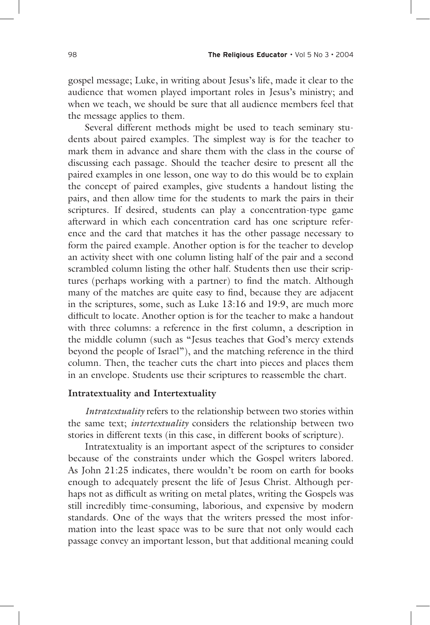gospel message; Luke, in writing about Jesus's life, made it clear to the audience that women played important roles in Jesus's ministry; and when we teach, we should be sure that all audience members feel that the message applies to them.

 Several different methods might be used to teach seminary students about paired examples. The simplest way is for the teacher to mark them in advance and share them with the class in the course of discussing each passage. Should the teacher desire to present all the paired examples in one lesson, one way to do this would be to explain the concept of paired examples, give students a handout listing the pairs, and then allow time for the students to mark the pairs in their scriptures. If desired, students can play a concentration-type game afterward in which each concentration card has one scripture reference and the card that matches it has the other passage necessary to form the paired example. Another option is for the teacher to develop an activity sheet with one column listing half of the pair and a second scrambled column listing the other half. Students then use their scriptures (perhaps working with a partner) to find the match. Although many of the matches are quite easy to find, because they are adjacent in the scriptures, some, such as Luke 13:16 and 19:9, are much more difficult to locate. Another option is for the teacher to make a handout with three columns: a reference in the first column, a description in the middle column (such as "Jesus teaches that God's mercy extends beyond the people of Israel"), and the matching reference in the third column. Then, the teacher cuts the chart into pieces and places them in an envelope. Students use their scriptures to reassemble the chart.

#### **Intratextuality and Intertextuality**

*Intratextuality* refers to the relationship between two stories within the same text; *intertextuality* considers the relationship between two stories in different texts (in this case, in different books of scripture).

 Intratextuality is an important aspect of the scriptures to consider because of the constraints under which the Gospel writers labored. As John 21:25 indicates, there wouldn't be room on earth for books enough to adequately present the life of Jesus Christ. Although perhaps not as difficult as writing on metal plates, writing the Gospels was still incredibly time-consuming, laborious, and expensive by modern standards. One of the ways that the writers pressed the most information into the least space was to be sure that not only would each passage convey an important lesson, but that additional meaning could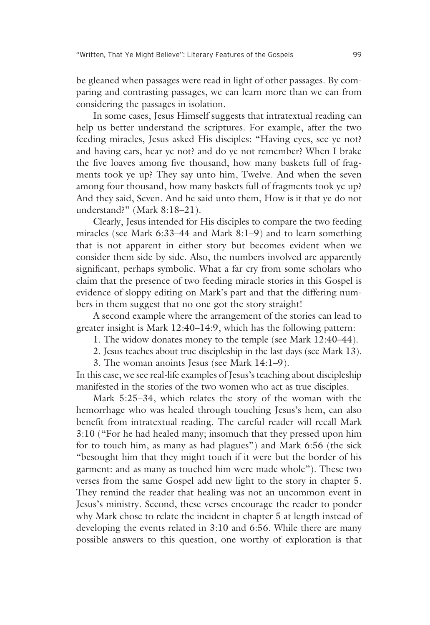be gleaned when passages were read in light of other passages. By comparing and contrasting passages, we can learn more than we can from considering the passages in isolation.

 In some cases, Jesus Himself suggests that intratextual reading can help us better understand the scriptures. For example, after the two feeding miracles, Jesus asked His disciples: "Having eyes, see ye not? and having ears, hear ye not? and do ye not remember? When I brake the five loaves among five thousand, how many baskets full of fragments took ye up? They say unto him, Twelve. And when the seven among four thousand, how many baskets full of fragments took ye up? And they said, Seven. And he said unto them, How is it that ye do not understand?" (Mark 8:18–21).

 Clearly, Jesus intended for His disciples to compare the two feeding miracles (see Mark 6:33–44 and Mark 8:1–9) and to learn something that is not apparent in either story but becomes evident when we consider them side by side. Also, the numbers involved are apparently significant, perhaps symbolic. What a far cry from some scholars who claim that the presence of two feeding miracle stories in this Gospel is evidence of sloppy editing on Mark's part and that the differing numbers in them suggest that no one got the story straight!

 A second example where the arrangement of the stories can lead to greater insight is Mark 12:40–14:9, which has the following pattern:

1. The widow donates money to the temple (see Mark 12:40–44).

2. Jesus teaches about true discipleship in the last days (see Mark 13).

3. The woman anoints Jesus (see Mark 14:1–9).

In this case, we see real-life examples of Jesus's teaching about discipleship manifested in the stories of the two women who act as true disciples.

 Mark 5:25–34, which relates the story of the woman with the hemorrhage who was healed through touching Jesus's hem, can also benefit from intratextual reading. The careful reader will recall Mark 3:10 ("For he had healed many; insomuch that they pressed upon him for to touch him, as many as had plagues") and Mark 6:56 (the sick "besought him that they might touch if it were but the border of his garment: and as many as touched him were made whole"). These two verses from the same Gospel add new light to the story in chapter 5. They remind the reader that healing was not an uncommon event in Jesus's ministry. Second, these verses encourage the reader to ponder why Mark chose to relate the incident in chapter 5 at length instead of developing the events related in 3:10 and 6:56. While there are many possible answers to this question, one worthy of exploration is that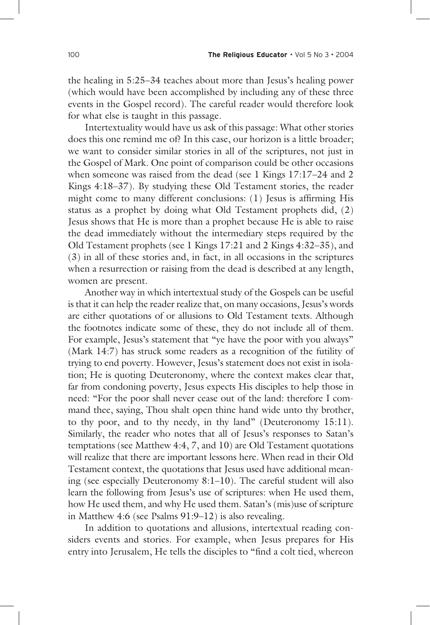the healing in 5:25–34 teaches about more than Jesus's healing power (which would have been accomplished by including any of these three events in the Gospel record). The careful reader would therefore look for what else is taught in this passage.

 Intertextuality would have us ask of this passage: What other stories does this one remind me of? In this case, our horizon is a little broader; we want to consider similar stories in all of the scriptures, not just in the Gospel of Mark. One point of comparison could be other occasions when someone was raised from the dead (see 1 Kings 17:17-24 and 2 Kings 4:18–37). By studying these Old Testament stories, the reader might come to many different conclusions:  $(1)$  Jesus is affirming His status as a prophet by doing what Old Testament prophets did, (2) Jesus shows that He is more than a prophet because He is able to raise the dead immediately without the intermediary steps required by the Old Testament prophets (see 1 Kings 17:21 and 2 Kings 4:32–35), and (3) in all of these stories and, in fact, in all occasions in the scriptures when a resurrection or raising from the dead is described at any length, women are present.

 Another way in which intertextual study of the Gospels can be useful is that it can help the reader realize that, on many occasions, Jesus's words are either quotations of or allusions to Old Testament texts. Although the footnotes indicate some of these, they do not include all of them. For example, Jesus's statement that "ye have the poor with you always" (Mark 14:7) has struck some readers as a recognition of the futility of trying to end poverty. However, Jesus's statement does not exist in isolation; He is quoting Deuteronomy, where the context makes clear that, far from condoning poverty, Jesus expects His disciples to help those in need: "For the poor shall never cease out of the land: therefore I command thee, saying, Thou shalt open thine hand wide unto thy brother, to thy poor, and to thy needy, in thy land" (Deuteronomy 15:11). Similarly, the reader who notes that all of Jesus's responses to Satan's temptations (see Matthew 4:4, 7, and 10) are Old Testament quotations will realize that there are important lessons here. When read in their Old Testament context, the quotations that Jesus used have additional meaning (see especially Deuteronomy 8:1–10). The careful student will also learn the following from Jesus's use of scriptures: when He used them, how He used them, and why He used them. Satan's (mis)use of scripture in Matthew 4:6 (see Psalms 91:9–12) is also revealing.

 In addition to quotations and allusions, intertextual reading considers events and stories. For example, when Jesus prepares for His entry into Jerusalem, He tells the disciples to "find a colt tied, whereon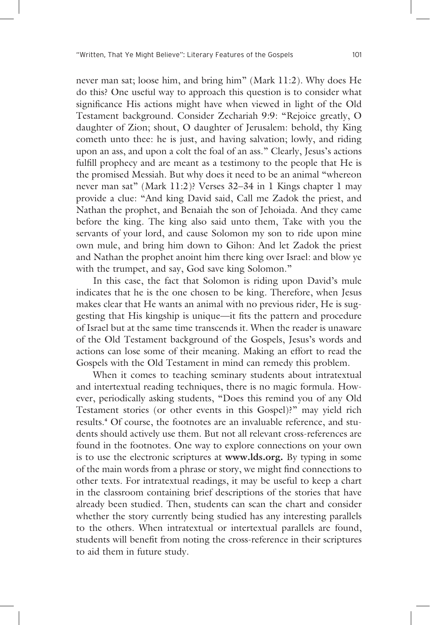never man sat; loose him, and bring him" (Mark 11:2). Why does He do this? One useful way to approach this question is to consider what significance His actions might have when viewed in light of the Old Testament background. Consider Zechariah 9:9: "Rejoice greatly, O daughter of Zion; shout, O daughter of Jerusalem: behold, thy King cometh unto thee: he is just, and having salvation; lowly, and riding upon an ass, and upon a colt the foal of an ass." Clearly, Jesus's actions fulfill prophecy and are meant as a testimony to the people that He is the promised Messiah. But why does it need to be an animal "whereon never man sat" (Mark 11:2)? Verses 32–34 in 1 Kings chapter 1 may provide a clue: "And king David said, Call me Zadok the priest, and Nathan the prophet, and Benaiah the son of Jehoiada. And they came before the king. The king also said unto them, Take with you the servants of your lord, and cause Solomon my son to ride upon mine own mule, and bring him down to Gihon: And let Zadok the priest and Nathan the prophet anoint him there king over Israel: and blow ye with the trumpet, and say, God save king Solomon."

 In this case, the fact that Solomon is riding upon David's mule indicates that he is the one chosen to be king. Therefore, when Jesus makes clear that He wants an animal with no previous rider, He is suggesting that His kingship is unique—it fits the pattern and procedure of Israel but at the same time transcends it. When the reader is unaware of the Old Testament background of the Gospels, Jesus's words and actions can lose some of their meaning. Making an effort to read the Gospels with the Old Testament in mind can remedy this problem.

 When it comes to teaching seminary students about intratextual and intertextual reading techniques, there is no magic formula. However, periodically asking students, "Does this remind you of any Old Testament stories (or other events in this Gospel)?" may yield rich results.**<sup>4</sup>** Of course, the footnotes are an invaluable reference, and students should actively use them. But not all relevant cross-references are found in the footnotes. One way to explore connections on your own is to use the electronic scriptures at **www.lds.org.** By typing in some of the main words from a phrase or story, we might find connections to other texts. For intratextual readings, it may be useful to keep a chart in the classroom containing brief descriptions of the stories that have already been studied. Then, students can scan the chart and consider whether the story currently being studied has any interesting parallels to the others. When intratextual or intertextual parallels are found, students will benefit from noting the cross-reference in their scriptures to aid them in future study.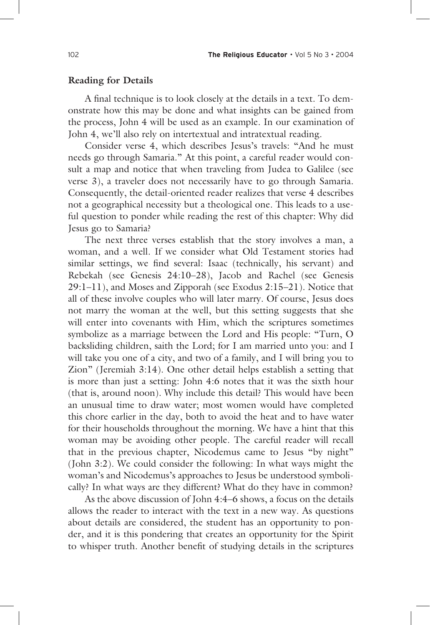#### **Reading for Details**

A final technique is to look closely at the details in a text. To demonstrate how this may be done and what insights can be gained from the process, John 4 will be used as an example. In our examination of John 4, we'll also rely on intertextual and intratextual reading.

 Consider verse 4, which describes Jesus's travels: "And he must needs go through Samaria." At this point, a careful reader would consult a map and notice that when traveling from Judea to Galilee (see verse 3), a traveler does not necessarily have to go through Samaria. Consequently, the detail-oriented reader realizes that verse 4 describes not a geographical necessity but a theological one. This leads to a useful question to ponder while reading the rest of this chapter: Why did Jesus go to Samaria?

 The next three verses establish that the story involves a man, a woman, and a well. If we consider what Old Testament stories had similar settings, we find several: Isaac (technically, his servant) and Rebekah (see Genesis 24:10–28), Jacob and Rachel (see Genesis 29:1–11), and Moses and Zipporah (see Exodus 2:15–21). Notice that all of these involve couples who will later marry. Of course, Jesus does not marry the woman at the well, but this setting suggests that she will enter into covenants with Him, which the scriptures sometimes symbolize as a marriage between the Lord and His people: "Turn, O backsliding children, saith the Lord; for I am married unto you: and I will take you one of a city, and two of a family, and I will bring you to Zion" (Jeremiah 3:14). One other detail helps establish a setting that is more than just a setting: John 4:6 notes that it was the sixth hour (that is, around noon). Why include this detail? This would have been an unusual time to draw water; most women would have completed this chore earlier in the day, both to avoid the heat and to have water for their households throughout the morning. We have a hint that this woman may be avoiding other people. The careful reader will recall that in the previous chapter, Nicodemus came to Jesus "by night" (John 3:2). We could consider the following: In what ways might the woman's and Nicodemus's approaches to Jesus be understood symbolically? In what ways are they different? What do they have in common?

 As the above discussion of John 4:4–6 shows, a focus on the details allows the reader to interact with the text in a new way. As questions about details are considered, the student has an opportunity to ponder, and it is this pondering that creates an opportunity for the Spirit to whisper truth. Another benefit of studying details in the scriptures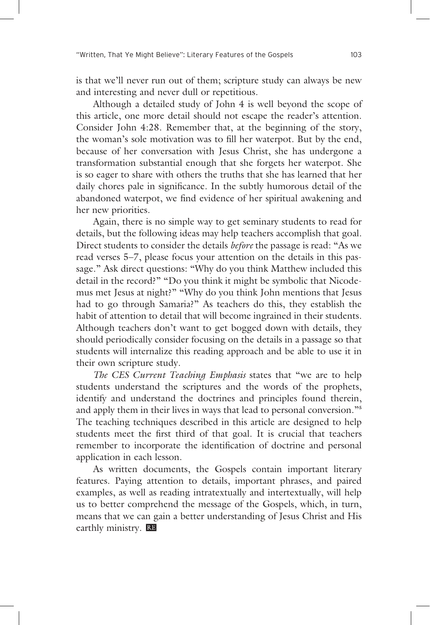is that we'll never run out of them; scripture study can always be new and interesting and never dull or repetitious.

 Although a detailed study of John 4 is well beyond the scope of this article, one more detail should not escape the reader's attention. Consider John 4:28. Remember that, at the beginning of the story, the woman's sole motivation was to fill her waterpot. But by the end, because of her conversation with Jesus Christ, she has undergone a transformation substantial enough that she forgets her waterpot. She is so eager to share with others the truths that she has learned that her daily chores pale in significance. In the subtly humorous detail of the abandoned waterpot, we find evidence of her spiritual awakening and her new priorities.

 Again, there is no simple way to get seminary students to read for details, but the following ideas may help teachers accomplish that goal. Direct students to consider the details *before* the passage is read: "As we read verses 5–7, please focus your attention on the details in this passage." Ask direct questions: "Why do you think Matthew included this detail in the record?" "Do you think it might be symbolic that Nicodemus met Jesus at night?" "Why do you think John mentions that Jesus had to go through Samaria?" As teachers do this, they establish the habit of attention to detail that will become ingrained in their students. Although teachers don't want to get bogged down with details, they should periodically consider focusing on the details in a passage so that students will internalize this reading approach and be able to use it in their own scripture study.

The CES Current Teaching Emphasis states that "we are to help students understand the scriptures and the words of the prophets, identify and understand the doctrines and principles found therein, and apply them in their lives in ways that lead to personal conversion."**<sup>5</sup>** The teaching techniques described in this article are designed to help students meet the first third of that goal. It is crucial that teachers remember to incorporate the identification of doctrine and personal application in each lesson.

 As written documents, the Gospels contain important literary features. Paying attention to details, important phrases, and paired examples, as well as reading intratextually and intertextually, will help us to better comprehend the message of the Gospels, which, in turn, means that we can gain a better understanding of Jesus Christ and His earthly ministry. RE